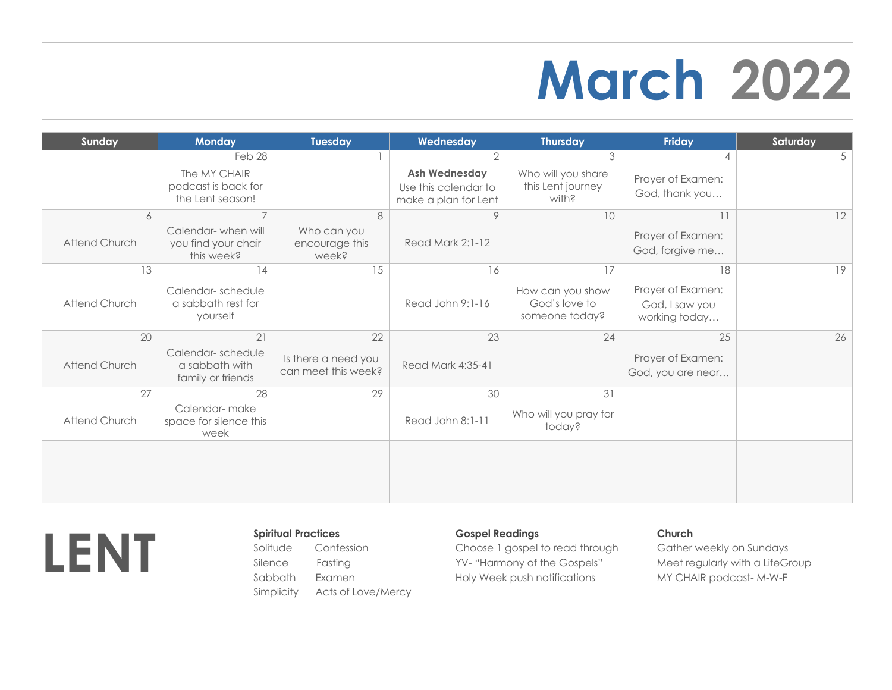## **March 2022**

| Sunday               | <b>Monday</b>                                            | Tuesday                                    | Wednesday                                                            | <b>Thursday</b>                                     | Friday                                               | Saturday       |
|----------------------|----------------------------------------------------------|--------------------------------------------|----------------------------------------------------------------------|-----------------------------------------------------|------------------------------------------------------|----------------|
|                      | Feb 28                                                   |                                            | $\overline{2}$                                                       | 3                                                   |                                                      | 5 <sup>1</sup> |
|                      | The MY CHAIR<br>podcast is back for<br>the Lent season!  |                                            | <b>Ash Wednesday</b><br>Use this calendar to<br>make a plan for Lent | Who will you share<br>this Lent journey<br>with?    | Prayer of Examen:<br>God, thank you                  |                |
| 6                    | $\overline{7}$                                           | 8                                          |                                                                      | 10                                                  | 11                                                   | 12             |
| <b>Attend Church</b> | Calendar-when will<br>you find your chair<br>this week?  | Who can you<br>encourage this<br>week?     | Read Mark 2:1-12                                                     |                                                     | Prayer of Examen:<br>God, forgive me                 |                |
| 13                   | 14                                                       | 15                                         | 16                                                                   | 17                                                  | 18                                                   | 19             |
| Attend Church        | Calendar-schedule<br>a sabbath rest for<br>yourself      |                                            | Read John 9:1-16                                                     | How can you show<br>God's love to<br>someone today? | Prayer of Examen:<br>God, I saw you<br>working today |                |
| 20                   | 21                                                       | 22                                         | 23                                                                   | 24                                                  | 25                                                   | 26             |
| Attend Church        | Calendar-schedule<br>a sabbath with<br>family or friends | Is there a need you<br>can meet this week? | Read Mark 4:35-41                                                    |                                                     | Prayer of Examen:<br>God, you are near               |                |
| 27                   | 28                                                       | 29                                         | 30                                                                   | 31                                                  |                                                      |                |
| Attend Church        | Calendar-make<br>space for silence this<br>week          |                                            | Read John 8:1-11                                                     | Who will you pray for<br>today?                     |                                                      |                |
|                      |                                                          |                                            |                                                                      |                                                     |                                                      |                |
|                      |                                                          |                                            |                                                                      |                                                     |                                                      |                |
|                      |                                                          |                                            |                                                                      |                                                     |                                                      |                |



Confession

Fasting Sabbath Simplicity Acts of Love/Mercy

## **Gospel Readings**

Choose 1 gospel to read through YV- "Harmony of the Gospels" Holy Week push notifications

## **Church**

Gather weekly on Sundays Meet regularly with a LifeGroup MY CHAIR podcast- M-W-F